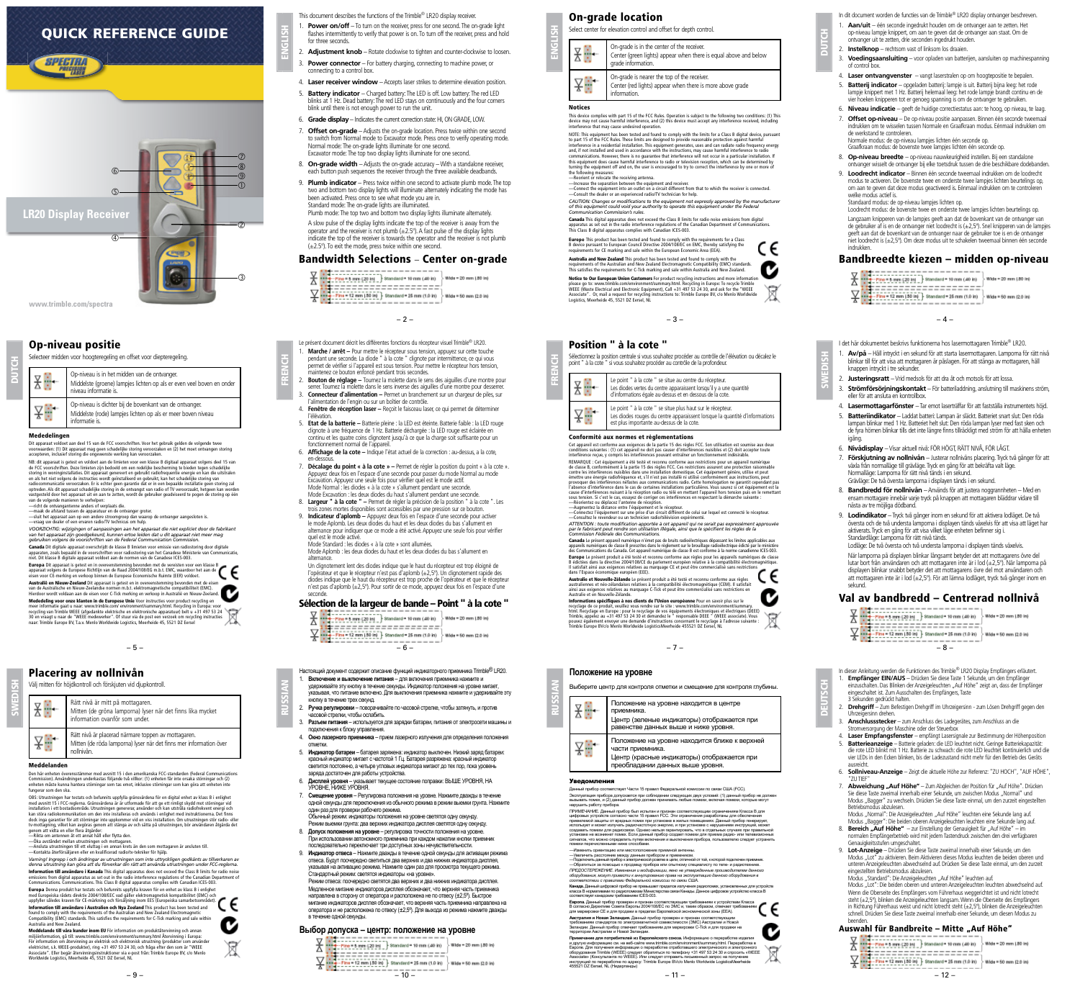# QUICK REFERENCE GUIDE



SPECTRA

### Op-niveau positie

Selecteer midden voor hoogteregeling en offset voor diepteregeling.

Op-niveau is in het midden van de ontvanger. 푌. Middelste (groene) lampjes lichten op als er even veel boven en onder niveau informatie is. Op-niveau is dichter bij de bovenkant van de ontvanger. 쭢 Middelste (rode) lampjes lichten op als er meer boven niveau informatie is.

#### Mededelingen

**DUTCH** 

Dit apparaat voldoet aan deel 15 van de FC voorschriften. Voor het gebruik gelden de volgende twee<br>ovorvaarden: (1) Dit apparaat mag geen schadelijke storing veroorzaken.<br>Geogretern, inclusief storing die ongevenste verkin

VOORZICHTIG: wijzigingen of aanpassingen aan het apparaat die niet expliciet door de fabrikant<br>van het apparaat zijn goedgekeurd, kunnen ertoe leiden dat u dit apparaat niet meer mag<br>gebruiken volgens de voorschriften van

**Australië en Nieuw-Zeeland** Dit apparaat is getest en in overeenstemming bevonden met de eisen<br>van de Australische en Nieuw-Zeelandse normen m.b.t. elektromagnetische compatibiliteit (EMC).<br>Hierdoor wordt voldaan aan de e Mededeling voor onze klanten in de Europese Unie Voor instructies voor product recycling en<br>meer informatie gaat u naar: www.trimble.com/ environment/summary.html. Recycling in Europa: voor<br>recycling van Trimble WEEE (afge

 $-5 -$ 

# Placering av nollnivån

Välj mitten för höjdkontroll och förskjuten vid djupkontroll.

Rätt nivå är mitt på mottagaren. 푌 Mitten (de gröna lamporna) lyser när det finns lika mycket information ovanför som under. Rätt nivå är placerad närmare toppen av mottagaren. 쭢 Mitten (de röda lamporna) lyser när det finns mer information över nollnivån.

SWEDISH

**Meddelanden**<br>Den här enheten överensstämmer med avsnitt 15 i den amerikanska FCC-standarden (Federal Communications<br>Commission). Användningen underkastas följande två villkor: (1) enheten får inte orsaka störningar och (2

OBS. Utrustningen har testats och befunnits uppfylla gränsvärdena för en digital enke av klass Bi einlighet<br>med avsnitt 15 i FCC-reglema. Gränsvärdena är är utformade för att ge ett imligt skyld mot störningar vid<br>installa

Varning! Ingrepp i och ändringar av utrustningen som inte uttryckligen godkänts av tillverkaren av<br>denna utrustning kan göra att du förverkar din rätt att använda utrustningen under FCC-reglerna.<br>I**nformation till användar** 

**Europa D**enna produkt har testats och befunnits uppfylla kraven för en enhet av klass B i enlighet<br>med Europeiska rådets direktiv 2004/108/EEC vad gäller elektromagnetisk kompatibilitet (EMC) och<br>uppfyller säledes kraven

Mestania and New Zealand.<br>Meddelande till våra kunder inom EU För information om produktåtervinning och annan<br>miliöinformation på till: www.trimble.com/environment/summarv.html Återvinning i Furona:

miljönformation, gå till: www.trimble.com/environment/summary.html Atervinning i Europa:<br>För information om återvinning av elektrisk och elektronisk utrustning (produkter som använder<br>elektricitet, s.k. WEEE-produkter), ri

 $-9-$ 

C

ENGLISH

**FRENCH** 

- Power on/off To turn on the receiver, press for one second. The on-grade light flashes intermittently to verify that power is on. To turn off the receiver, press and hold for three seconds.
- 2. **Adjustment knob** Rotate clockwise to tighten and counter-clockwise to loosen. 3. **Power connector** – For battery charging, connecting to machine power, or
- connecting to a control box.
- 4. **Laser receiver window** Accepts laser strikes to determine elevation position. 5. **Battery indicator** – Charged battery: The LED is off. Low battery: The red LED blinks at 1 Hz. Dead battery: The red LED stays on continuously and the four corners blink until there is not enough power to run the unit.
- 6. **Grade display** Indicates the current correction state: HI, ON GRADE, LOW.
- 7. **Offset on-grade** Adjusts the on-grade location. Press twice within one second to switch from Normal mode to Excavator mode. Press once to verify operating mode. Normal mode: The on-grade lights illuminate for one second. Excavator mode: The top two display lights illuminate for one second.
- 8. **On-grade width** Adjusts the on-grade accuracy With a standalone receiver, each button push sequences the receiver through the three available deadbands.
- 9. **Plumb indicator** Press twice within one second to activate plumb mode. The top two and bottom two display lights will illuminate alternately indicating the mode has been activated. Press once to see what mode you are Standard mode: The on-grade lights are illuminated. Plumb mode: The top two and bottom two display lights illuminate alternately.

A slow pulse of the display lights indicate the top of the receiver is away from the operator and the receiver is not plumb  $(+2.5^{\circ})$ . A fast pulse of the display lights indicate the top of the receiver is towards the operator and the receiver is not plumb (±2.5º). To exit the mode, press twice within one second.

### Bandwidth Selections – Center on-grade

- $\sum_{n=1}^{\infty} \frac{1}{n} \sum_{n=1}^{\infty} \frac{1}{n} \sum_{n=1}^{\infty} \frac{1}{n} \sum_{n=1}^{\infty} \frac{1}{n} \sum_{n=1}^{\infty} \frac{1}{n} \sum_{n=1}^{\infty} \frac{1}{n} \sum_{n=1}^{\infty} \frac{1}{n} \sum_{n=1}^{\infty} \frac{1}{n} \sum_{n=1}^{\infty} \frac{1}{n} \sum_{n=1}^{\infty} \frac{1}{n} \sum_{n=1}^{\infty} \frac{1}{n} \sum_{n=1}^{\infty$ . <u>- - - - - - - - -</u> .
- 短  $\frac{3}{2}$  Fine = 12 mm (30 in) Standard = 25 mm (1.0 in) Wide = 50 mm (2.0 in)

 $-2-$ 

- Le présent document décrit les différentes fonctions du récepteur visuel Trimble<sup>®</sup> LR20.
- 1. **Marche / arrêt** Pour mettre le récepteur sous tension, appuyez sur cette touche<br>pendant une seconde. La diode " à la cote" cliquote par intermittence, ce qui vous<br>permet de vérifier si l'appareil est sous tension. Po
- 
- l'alimentation de l'engin ou sur un boîtier de contrôle. 4. **Fenêtre de réception laser –** Reçoit le faisceau laser, ce qui permet de déterminer l'élévation. 5. **Etat de la batterie –** Batterie pleine : la LED est éteinte. Batterie faible : la LED rouge
- clignote à une fréquence de 1 Hz. Batterie déchargée : la LED rouge est éclairée en continu et les quatre coins clignotent jusqu'à ce que la charge soit suffisante pour un fonctionnement normal de l'appareil. 6. **Affichage de la cote –** Indique l'état actuel de la correction : au-dessus, a la cote,
- en-dessous. 7. **Décalage du point « à la cote » –** Permet de régler la position du point « à la cote ».
- Appuyez deux fois en l'espace d'une seconde pour passer du mode Normal au mode<br>Excavation. Appuyez une seule fois pour vérifier quel est le mode actif.<br>Mode Normal : les diodes « à la cote » s'allument pendant une seconde.
- 
- 9. **Indicateur d'aplomb** Appuyez deux fois en l'espace d'une seconde pour activer<br>le mode Aplomb. Les deux diodes du haut et les deux diodes du bas s'allument en<br>diternance pour indiquer que ce mode a été activé. Appuyez
	-
- alternance. unculance.<br>Un clignotement lent des diodes indique que le haut du récenteur est trop éloigné de l'opérateur et que le récepteur n'est pas d'aplomb (±2,5°). Un clignotement rapide des<br>diodes indique que le haut du récepteur est trop proche de l'opérateur et que le récepteur<br>n'est pas d'aplomb (±2,5°). Pour sortir de c

- Sélection de la largeur de bande Point " à la cote "<br>  $\frac{1}{\Delta}$ <br>  $\frac{1}{\sqrt{2}}$ <br>  $\frac{1}{\sqrt{2}}$ <br>  $\frac{1}{\sqrt{2}}$ <br>  $\frac{1}{\sqrt{2}}$ <br>  $\frac{1}{\sqrt{2}}$ <br>  $\frac{1}{\sqrt{2}}$ <br>  $\frac{1}{\sqrt{2}}$ <br>  $\frac{1}{\sqrt{2}}$ <br>  $\frac{1}{\sqrt{2}}$ <br>  $\frac{1}{\sqrt{2}}$ <br>  $\frac{1}{\sqrt{2}}$ <br>
- $\frac{1}{4}$  Fins 12 am (50 in) Standard 25 mm (10 in)<br>  $-6 -$
- Настоящий документ содержит описание функций индикаторного приемника Trimble® LR20. 1. **Включение и выключение питания** – для включения приемника нажмите и
- RUSSIAN удерживайте эту кнопку в течение секунды. Индикатор положения на уровне мигает указывая, что питание включено. Для выключения приемника нажмите и удерживайте эту ,<br>кнопку в течение трех секунд.
- 2. **Ручка регулировки** поворачивайте по часовой стрелке, чтобы затянуть, и против часовой стрелки, чтобы ослабить.
- 3. **Разъем питания** используется для зарядки батареи, питания от электросети машины и
- подключения к блоку управления. 4. **Окно лазерного приемника** прием лазерного излучения для определения положения отметки. 5. **Индикатор батареи** – батарея заряжена: индикатор выключен. Низкий заряд батареи:
- красный индикатор мигает с частотой 1 Гц. Батарея разряжена: красный индикатор<br>светится постоянно, а четыре угловых индикатора мигают до тех пор, пока уровень<br>заряда достаточен для работы устройства.
- 6. **Дисплей уровня** указывает текущее состояние поправки: ВЫШЕ УРОВНЯ, НА УРОВНЕ, НИЖЕ УРОВНЯ.
- 7. **Смещение уровня** Регулировка положения на уровне. Нажмите дважды в течение<br>одной секунды, для переключения из обычного режима в режим выемки грунта. Нажмите<br>один раз для проверки рабочего режима.<br>Обычный режим: инди
- Режим выемки грунта: два верхних индикатора дисплея светятся одну секунду. 8. **Допуск положения на уровне –** регулировка точности положения на уровне.<br>При использовании автономного приемника при каждом нажатии кнопки приемник<br>последовательно переключает три доступных зоны нечувствительности.
- 9. **Индикатор отвеса** Нажмите дважды в течение одной секунды для активации режима отвеса. Будут поочередно светиться два верхних и два нижних индикатора дисплея,<br>указывая на активацию режима. Нажмите один раз для просмотра текущего режима.
- Стандартный режим: светятся индикаторы «на уровне».<br>Режим отвеса: поочередно светятся два верхних и два нижних индикатора дисплея.<br>Медленное мигание индикатора дисплея обозначает, что верхняя часть приемника<br>направлена в мигание индикаторов дисплея обозначает, что верхняя часть приемника направлена на оператора и не расположена по отвесу (±2,5º). Для выхода из режима нажмите дважды ние одной секунды.

### **Выбор допуска – центр: положение на уровне**

- $\frac{V}{\Delta}$  =  $\frac{1}{2}$  =  $\frac{1}{2}$  =  $\frac{1}{2}$  =  $\frac{1}{2}$  =  $\frac{1}{2}$  =  $\frac{1}{2}$  =  $\frac{1}{2}$  =  $\frac{1}{2}$  =  $\frac{1}{2}$  =  $\frac{1}{2}$  =  $\frac{1}{2}$  =  $\frac{1}{2}$  =  $\frac{1}{2}$  =  $\frac{1}{2}$  =  $\frac{1}{2}$  =  $\frac{1}{2}$  =  $\frac{1}{2}$  =  $\frac{$ 
	- $\sum_{\Delta}$  = Fin = 12 nm (30 ln) Standard = 25 nm (1.0 kg) Wide = 50 nm (2.0 ln)
	- $-70 -$

# On-grade location

Select center for elevation control and offset for depth control.

On-grade is in the center of the receiver. ΧË Center (green lights) appear when there is equal above and below grade information. On-grade is nearer the top of the receiver. 쭢 Center (red lights) appear when there is more above grade information.

In dit document worden de functies van de Trimble® LR20 display ontvanger beschreven. 1. **Aan/uit** – één seconde ingedrukt houden om de ontvanger aan te zetten. Het op-niveau lampje knippert, om aan te geven dat de ontvanger aan staat. Om de ontvanger uit te zetten, drie seconden ingedrukt houden.

3. **Voedingsaansluiting** – voor opladen van batterijen, aansluiten op machinespanning

**Laser ontvangvenster** - vangt laserstralen op om hoogtepositie te bepalen. 5. **Batterij indicator** – opgeladen batterij: lampje is uit. Batterij bijna leeg: het rode lampje knippert met 1 Hz. Batterij helemaal leeg: het rode lampje brandt continu en de vier hoeken knipperen tot er genoeg spanning is om de ontvanger te gebruiken. 6. **Niveau indicatie** – geeft de huidige correctiestatus aan: te hoog, op niveau, te laag. 7. **Offset op-niveau** – De op-niveau positie aanpassen. Binnen één seconde tweemaal indrukken om te wisselen tussen Normale en Graafkraan modus. Eénmaal indrukken om

Normale modus: de op-niveau lampjes lichten één seconde op. Graafkraan modus: de bovenste twee lampjes lichten één seconde op.

8. **Op-niveau breedte** – op-niveau nauwkeurigheid instellen. Bij een standalone ontvanger wisselt de ontvanger bij elke toetsdruk tussen de drie beschikbare dodebanden. 9. **Loodrecht indicator** – Binnen één seconde tweemaal indrukken om de loodrecht modus te activeren. De bovenste twee en onderste twee lampjes lichten beurtelings op, om aan te geven dat deze modus geactiveerd is. Eénmaal indrukken om te controleren

Standaard modus: de op-niveau lampjes lichten op. Loodrecht modus: de bovenste twee en onderste twee lampjes lichten beurtelings op. Langzaam knipperen van de lampjes geeft aan dat de bovenkant van de ontvanger van de gebruiker af is en de ontvanger niet loodrecht is (±2,5º). Snel knipperen van de lampjes geeft aan dat de bovenkant van de ontvanger naar de gebruiker toe is en de ontvanger niet loodrecht is (±2,5º). Om deze modus uit te schakelen tweemaal binnen één seconde

Bandbreedte kiezen – midden op-niveau

==========  $\sum_{\Delta} \frac{1}{\sum_{i=1}^{n} \frac{1}{i} \sum_{i=1}^{n} \frac{1}{i} \sum_{i=1}^{n} \frac{1}{i} \sum_{i=1}^{n} \frac{1}{i} \sum_{i=1}^{n} \frac{1}{i} \sum_{i=1}^{n} \frac{1}{i} \sum_{i=1}^{n} \frac{1}{i} \sum_{i=1}^{n} \frac{1}{i} \sum_{i=1}^{n} \frac{1}{i} \sum_{i=1}^{n} \frac{1}{i} \sum_{i=1}^{n} \frac{1}{i} \sum_{i=1}^{n} \frac{1}{i} \sum_{i=$ 

 $\frac{\sum_{i=1}^{n} \frac{1}{i} \sum_{i=1}^{n} \frac{1}{i} \sum_{i=1}^{n} \frac{1}{i} \sum_{i=1}^{n} \frac{1}{i} \sum_{i=1}^{n} \frac{1}{i} \sum_{i=1}^{n} \frac{1}{i} \sum_{i=1}^{n} \frac{1}{i} \sum_{i=1}^{n} \frac{1}{i} \sum_{i=1}^{n} \frac{1}{i} \sum_{i=1}^{n} \frac{1}{i} \sum_{i=1}^{n} \frac{1}{i} \sum_{i=1}^{n} \frac{1}{i} \sum_{i=1}^{n} \frac{1$ 

I det här dokumentet beskrivs funktionerna hos lasermottagaren Trimble® LR20. 1. **Av/på** – Håll intryckt i en sekund för att starta lasermottagaren. Lamporna för rätt nivå blinkar till för att visa att mottagaren är påslagen. För att stänga av mottagaren, håll

3. **Strömförsörjningskontakt** – För batteriladdning, anslutning till maskinens ström, eller för att ansluta en kontrollbox. 4. **Lasermottagarfönster** – Tar emot laserträffar för att fastställa instrumentets höjd. 5. **Batteriindikator** – Laddat batteri: Lampan är släckt. Batteriet snart slut: Den röda lampan blinkar med 1 Hz. Batteriet helt slut: Den röda lampan lyser med fast sken och de fyra hörnen blinkar tills det inte längre finns tillräckligt med ström för att hålla enheten

7. **Förskjutning av nollnivån** – Justerar nollnivåns placering. Tryck två gånger för att växla från normalläge till grävläge. Tryck en gång för att bekräfta valt läge. Normalläge: Lamporna för rätt nivå tänds i en sekund. Grävläge: De två översta lamporna i displayen tänds i en sekund.

8. **Bandbredd för nollnivån** – Används för att justera noggrannheten – Med en<br>ensam mottagare innebär varje tryck på knappen att mottagaren bläddrar vidare till<br>nästa av tre möjliga dödband. 9. **Lodindikator** – Tryck två gånger inom en sekund för att aktivera lodläget. De två översta och de två understa lamporna i displayen tänds växelvis för att visa att läget har<br>aktiverats. Tryck en gång för att visa vilket läge enheten befinner sig i.<br>Standardläge: Lamporna för rätt nivå tänds. Lodläge: De två översta och två understa lamporna i displayen tänds växelvis. När lamporna på displayen blinkar långsamt betyder det att mottagarens övre del lutar bort från användaren och att mottagaren inte är i lod (±2,5°). När lamporna på<br>displayen blinkar snabbt betyder det att mottagarens övre del mot användaren och<br>att mottagaren inte är i lod (±2,5°). För att lämna lodl

2. **Justeringsratt** – Vrid medsols för att dra åt och motsols för att lossa.

6. **Nivådisplay** – Visar aktuell nivå: FÖR HÖGT, RÄTT NIVÅ, FÖR LÅGT.

 $-8-$ 

**Fine - 12 mm (50 in)** Standard - 25 mm (1.0 in) Wide = 50 mm (2.0 in)

In dieser Anleitung werden die Funktionen des Trimble<sup>®</sup> LR20 Display Empfängers erläutert.<br>1. **Empfänger EIN/AUS** – Drücken Sie diese Taste 1 Sekunde, um den Empfänger<br>einzuschalten. Das Blinken der Anzeigeleuchten "Auf H

2. **Drehgriff** – Zum Befestigen Drehgriff im Uhrzeigersinn - zum Lösen Drehgriff gegen den Uhrzeigersinn drehen. 3. **Anschlussstecker** – zum Anschluss des Ladegerätes, zum Anschluss an die

Stromversorgung der Maschine oder der Steuerbox<br>**4. Laser Empfangsfenster** – empfängt Lasersignale zur Bestimmung der Höhenposition<br>**5. Batterie-anzeige** – Batterie geladen: die LED leuchtet nicht. Geringe Batteriekapazitä

6. **Sollniveau-Anzeige** – Zeigt die aktuelle Höhe zur Referenz: "ZU HOCH", "AUF HÖHE",

Abweichung "Auf Höhe" – Zum Abgleichen der Position für "Auf Höhe". Drücken Sie diese Taste zweimal innerhalb einer Sekunde, um zwischen Modus "Normal" und<br>Modus "Bagger" zu wechseln. Drücken Sie diese Taste einmal, um den zurzeit eingestellten

Betriebsmodus abzulesen.<br>Modus "Normal": Die Anzeigeleuchten "Auf Höhe" leuchten eine Sekunde lang auf.<br>Modus "Bagger": Die beiden oberen Anzeigeleuchten leuchten eine Sekunde lang auf.<br>8. **Bereich "Auf Höhe"** – zur Einste

9. **Lot-Anzeige** – Drücken Sie diese Taste zweimal innenhalb einer Sekunde, um den<br>Modus "Iot" zu aktivieren. Beim Aktivieren dieses Modus leuchten die beiden oberen und<br>unteren Anzeigeleuchten abwechselnd auf. Drücken Si

eingeschaltet ist. Zum Ausschalten des Empfängers, Taste 3 Sekunden gedrückt halten.

Val av bandbredd – Centrerad nollnivå

 $\sum_{n=1}^{\infty} \frac{1}{n!} \frac{1}{n!} \frac{1}{n!} \frac{1}{n!} \frac{1}{n!} \frac{1}{n!} \frac{1}{n!} \frac{1}{n!} \frac{1}{n!} \frac{1}{n!} \frac{1}{n!} \frac{1}{n!} \frac{1}{n!} \frac{1}{n!} \frac{1}{n!} \frac{1}{n!} \frac{1}{n!} \frac{1}{n!} \frac{1}{n!} \frac{1}{n!} \frac{1}{n!} \frac{1}{n!} \frac{1}{n!} \frac{1}{n!} \frac{1}{n!} \frac{1}{n!}$ ========

 $-12-$ 

 $\sum_{\Delta} \left[ \frac{1}{1 + \frac{1}{2} - 2 \ln n - 12 \ln n} \right]$  Standard - 25 nm (1.0 kg)<br> $\left. \right\}$  Wide = 50 nm (2.0 kg)

========

Auswahl für Bandbreite – Mitte "Auf Höhe"<br>  $\frac{\sum_{n=1}^{n} \frac{1}{n} \sum_{n=1}^{n} \sum_{n=1}^{n} \sum_{n=1}^{n} \sum_{n=1}^{n} \sum_{n=1}^{n} \sum_{n=1}^{n} \sum_{n=1}^{n} \sum_{n=1}^{n} \sum_{n=1}^{n} \sum_{n=1}^{n} \sum_{n=1}^{n} \sum_{n=1}^{n} \sum_{n=1}^{n} \sum_{n=1}^{n} \sum_{n=1}^{n} \sum_{n=1}^{$ 

2. **Instelknop** – rechtsom vast of linksom los draaien.

of control box.

de werkstand te controleren.

welke modus actief is.

knappen intryckt i tre sekunder.

igång.

sekund.

쨺

ausreicht.

**DEUTSCH** 

М

C

"ZU TIEF"

indrukken.

SWEDISH

DEUTSCH DEUTSCH DEUTSCHE DEUTSCHEIDUNG DEUTSCHEIDUNG DEUTSCHLEIDUNG DEUTSCHLEIDUNG DEUTSCHLEIDUNG DEUTSCHLEIDU

C

ENGLISH

- **Notices**<br>This device complies with part 15 of the FCC Rules. Operation is subject to the following two conditions: (1) This<br>device may not cause harmful interference, and (2) this device must accept any interference recei
- —Reorient or relocate the receiving antenna.<br>—Increase the separation between the equipment and receiver.<br>—Connect the equipment into an outlet on a circuit different from that to which the receiver is connected.<br>—Consult
- 
- CAUTION: Changes or modifications to the equipment not expressly approved by the manufacturer<br>of this equipment could void your authority to operate this equipment under the Federal<br>Communication Commission's rules. **Canada** This digital apparatus does not exceed the Class B limits for radio noise emissions from digital<br>apparatus as set out in the radio interference regulations of the Canadian Department of Communications.<br>This Class
- 
- **Europe** This product has been tested and found to comply with the requirements for a Class<br>B device pursuant to European Council Directive 2004/108/EC on EMC, thereby satisfying the<br>requirements for CE marking and sale wi ce **Australia and New Zealand** This product has been tested and found to comply with the<br>requirements of the Australian and New Zealand Electromagnetic Compatibility (EMC) standards.<br>This satisfies the requirements for C-Tick
- **Notice to Our European Union Customers F**or product recycling instructions and more information<br>please go to: www.trimble.com/environment/summary.html. Recycling in Europe: To recycle Trimble<br>WEEE (Waste Electrical and El

 $-3-$ 

#### Position " à la cote "

Sélectionnez la position centrale si vous souhaitez procéder au contrôle de l'élévation ou décalez le point " à la cote " si vous souhaitez procéder au contrôle de la profondeur.

|  | Sélectionnez la position centrale si vous souhaitez procéder au contrôle de l'élévation ou décalez le<br>point " à la cote " si vous souhaitez procéder au contrôle de la profondeur. |                                                                                                                                                                                            |  |
|--|---------------------------------------------------------------------------------------------------------------------------------------------------------------------------------------|--------------------------------------------------------------------------------------------------------------------------------------------------------------------------------------------|--|
|  |                                                                                                                                                                                       | Le point " à la cote " se situe au centre du récepteur.<br>Les diodes vertes du centre apparaissent lorsqu'il y a une quantité<br>d'informations égale au-dessus et en dessous de la cote. |  |
|  |                                                                                                                                                                                       | Le point " à la cote " se situe plus haut sur le récepteur.<br>Les diodes rouges du centre apparaissent lorsque la quantité d'informations<br>est plus importante au-dessus de la cote.    |  |

#### Conformité aux normes et réglementations

**CETT AUCE CET AUCE AUCE CET AUCE AUX EXECTS CONFORMATION**<br>Cet appareil est conforme aux exigences de la partie 15 des règles FCC. Son utilisation est soumise aux deux d<br>Trence reçue, y compris les interférences pouvant en

conditions suivantes : (1) et appareil ne doit pas cause d'intériérences muisibles et (2) doit accepte toute<br>tintefference reque, y compris les intérferences pouvant entraîner un fonctionnement indésirable.<br>
REMARQUE: Cet

- 
- 

australiennes et néo-zélandaises relatives à la compatibilité électromagnétique (CEM). Il satisfait<br>ainsi aux exigences relatives au marquage C-Tick et peut être commercialisé sans restrictions en<br>Australie et en Nouvelle-C

Nusualie et en Nouvelle-Zelande.<br>**Informations spécifiques à nos clients de l'Union européenne** Pour en savoir plus sur le<br>recyclage de ce produit, veuillez vous rendre sur le site : www.trimble.com/environment/summ recyclage de ce produit, veuillez vous rendre sur le site : www.trimble.com/environment/summary.<br>html. Recyclage en Europe : pour le recyclage de vos équipements électroniques et électriques (DEEE)<br>Trimble, appelez au +31

– 7 –

#### **Положение на уровне**

Выберите центр для контроля отметки и смещение для контроля глубины.



#### Уведомления

RUSSIAN

Данный прибор соответствует Части 15 правил Федеральной комиссии по связи США (FCC).<br>Эксплуатация прибора допускается при соблюдении следующих двух условий: (1) данный прибор не должен<br>вызывать помех, и (2) данный прибор

нарушить работу прибора.<br>ПРИМЕЧАНИЕ, данный прибор был испытан и признан соответствующим ограничениям Класса В для<br>применения устройств согласно части 15 правил FCC. Эти ограничения разработаны для обеспечения<br>приемлемой

**Канада,** Данный цифровой прибор не превышает пределов излучения радиопомех, установленных для устройств<br>класса В нормативами по радиопомехам Министерства связи Канады. Данное цифровое устройство класса В<br>соответствует ка **Европа.** Данный прибор проверен и признан соответствующим требованиям к устройствам Класса<br>В согласно Директиве Совета Европы 2004/108/EC по ЭМС и, таким образом, отвечает требованиям для мариировии СЕ и для продажи в пределах Европейской экономической зоны (EEA).<br>**Австралия и Новая Зеландия. Д**анный прибор проверен и признан соответствующим<br>требованиям стандартов по электромалитной совместимости (ЭМС)

 $-11 -$ 

Примечание для потребителей из Esponekicoro союза. Информацию о переработе наделия<br>и другую информацию см. на веб-сайте www.trimble.com/environment/summary.html. Переработка в<br>Европе. Для получения информации о переработк

—Изменить ориентацию или местоположение приемной антенны.<br>-Увеличить расстояние межлу данным прибором и приемником — Уваличать расстояние между данным прибором и приемником.<br>— Обратиться за помощью к продавцу приборов или прижимким.<br>— Обратиться за помощью к продавцу прибора клим опытному специалисту по тепе- и радистехнике.<br>ПРЕДОСТЕР